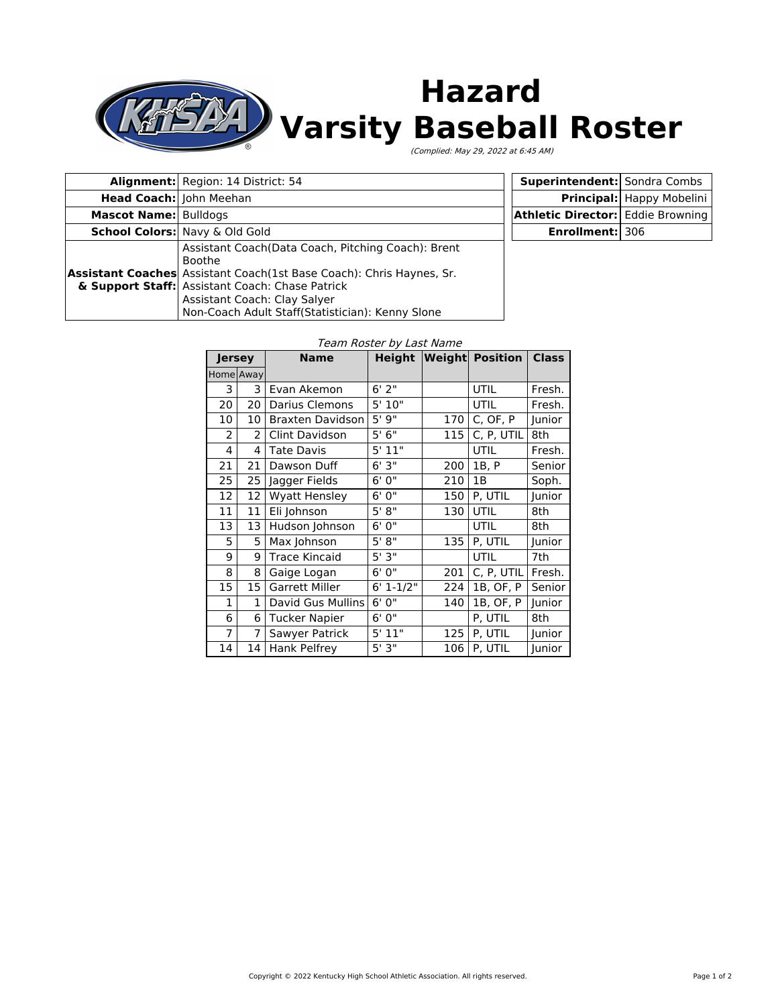

|                              | <b>Alignment:</b> Region: 14 District: 54                                                                                                                                                                                                                                    | <b>Superintendent:</b> Sondra Combs      |                                  |
|------------------------------|------------------------------------------------------------------------------------------------------------------------------------------------------------------------------------------------------------------------------------------------------------------------------|------------------------------------------|----------------------------------|
| Head Coach: John Meehan      |                                                                                                                                                                                                                                                                              |                                          | <b>Principal:</b> Happy Mobelini |
| <b>Mascot Name: Bulldogs</b> |                                                                                                                                                                                                                                                                              | <b>Athletic Director:</b> Eddie Browning |                                  |
|                              | <b>School Colors:</b> Navy & Old Gold                                                                                                                                                                                                                                        | <b>Enrollment: 306</b>                   |                                  |
|                              | Assistant Coach (Data Coach, Pitching Coach): Brent<br>Boothe<br>Assistant Coaches Assistant Coach(1st Base Coach): Chris Haynes, Sr.<br>& Support Staff: Assistant Coach: Chase Patrick<br>Assistant Coach: Clay Salyer<br>Non-Coach Adult Staff(Statistician): Kenny Slone |                                          |                                  |

| Jersey       |              | <b>Name</b>             | <b>Height</b> |     | <b>Weight Position</b> | <b>Class</b> |
|--------------|--------------|-------------------------|---------------|-----|------------------------|--------------|
|              | Home Away    |                         |               |     |                        |              |
| 3            | 3            | Evan Akemon             | 6'2''         |     | UTIL                   | Fresh.       |
| 20           | 20           | <b>Darius Clemons</b>   | 5' 10"        |     | UTIL                   | Fresh.       |
| 10           | 10           | <b>Braxten Davidson</b> | 5'9''         | 170 | C, OF, P               | Junior       |
| 2            | 2            | Clint Davidson          | 5'6''         | 115 | C, P, UTIL             | 8th          |
| 4            | 4            | Tate Davis              | 5'11"         |     | <b>UTIL</b>            | Fresh.       |
| 21           | 21           | Dawson Duff             | 6'3''         | 200 | 1B, P                  | Senior       |
| 25           | 25           | Jagger Fields           | 6'0''         | 210 | 1B                     | Soph.        |
| 12           | 12           | <b>Wyatt Hensley</b>    | 6'0''         | 150 | P, UTIL                | Junior       |
| 11           | 11           | Eli Johnson             | 5' 8''        | 130 | UTIL                   | 8th          |
| 13           | 13           | Hudson Johnson          | 6'0''         |     | UTIL                   | 8th          |
| 5            | 5            | Max Johnson             | 5' 8''        | 135 | P, UTIL                | Junior       |
| 9            | 9            | <b>Trace Kincaid</b>    | 5'3"          |     | UTIL                   | 7th          |
| 8            | 8            | Gaige Logan             | 6'0''         | 201 | C, P, UTIL             | Fresh.       |
| 15           | 15           | <b>Garrett Miller</b>   | $6' 1 - 1/2"$ | 224 | 1B, OF, P              | Senior       |
| $\mathbf{1}$ | $\mathbf{1}$ | David Gus Mullins       | 6'0''         | 140 | 1B, OF, P              | Junior       |
| 6            | 6            | <b>Tucker Napier</b>    | 6'0''         |     | P, UTIL                | 8th          |
| 7            | 7            | Sawyer Patrick          | 5'11"         | 125 | P, UTIL                | Junior       |
| 14           | 14           | Hank Pelfrey            | 5'3"          | 106 | P, UTIL                | Junior       |

## Team Roster by Last Name